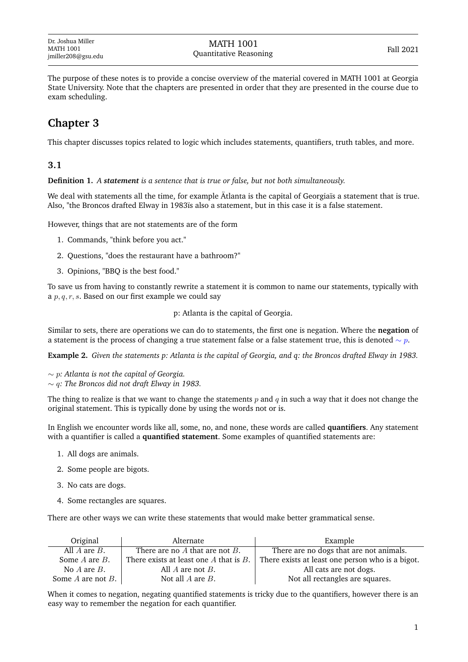The purpose of these notes is to provide a concise overview of the material covered in MATH 1001 at Georgia State University. Note that the chapters are presented in order that they are presented in the course due to exam scheduling.

# **Chapter 3**

This chapter discusses topics related to logic which includes statements, quantifiers, truth tables, and more.

## **3.1**

**Definition 1.** *A statement is a sentence that is true or false, but not both simultaneously.*

We deal with statements all the time, for example Ätlanta is the capital of Georgiaïs a statement that is true. Also, "the Broncos drafted Elway in 1983ïs also a statement, but in this case it is a false statement.

However, things that are not statements are of the form

- 1. Commands, "think before you act."
- 2. Questions, "does the restaurant have a bathroom?"
- 3. Opinions, "BBQ is the best food."

To save us from having to constantly rewrite a statement it is common to name our statements, typically with a  $p, q, r, s$ . Based on our first example we could say

p: Atlanta is the capital of Georgia.

Similar to sets, there are operations we can do to statements, the first one is negation. Where the **negation** of a statement is the process of changing a true statement false or a false statement true, this is denoted  $\sim p$ .

**Example 2.** *Given the statements p: Atlanta is the capital of Georgia, and q: the Broncos drafted Elway in 1983.*

- ∼ p*: Atlanta is not the capital of Georgia.*
- ∼ q*: The Broncos did not draft Elway in 1983.*

The thing to realize is that we want to change the statements  $p$  and  $q$  in such a way that it does not change the original statement. This is typically done by using the words not or is.

In English we encounter words like all, some, no, and none, these words are called **quantifiers**. Any statement with a quantifier is called a **quantified statement**. Some examples of quantified statements are:

- 1. All dogs are animals.
- 2. Some people are bigots.
- 3. No cats are dogs.
- 4. Some rectangles are squares.

There are other ways we can write these statements that would make better grammatical sense.

| Original               | Alternate                                   | Example                                          |
|------------------------|---------------------------------------------|--------------------------------------------------|
| All $A$ are $B$ .      | There are no $A$ that are not $B$ .         | There are no dogs that are not animals.          |
| Some $A$ are $B$ .     | There exists at least one $A$ that is $B$ . | There exists at least one person who is a bigot. |
| No $A$ are $B$ .       | All $A$ are not $B$ .                       | All cats are not dogs.                           |
| Some $A$ are not $B$ . | Not all $A$ are $B$ .                       | Not all rectangles are squares.                  |

When it comes to negation, negating quantified statements is tricky due to the quantifiers, however there is an easy way to remember the negation for each quantifier.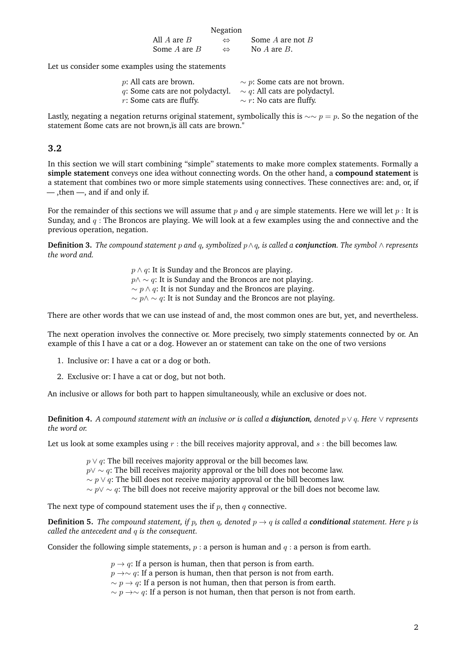|                 | Negation          |                    |
|-----------------|-------------------|--------------------|
| All $A$ are $B$ | $\leftrightarrow$ | Some A are not $B$ |
| Some A are $B$  | ⇔                 | No $A$ are $B$ .   |

Let us consider some examples using the statements

| $p$ : All cats are brown.        | $\sim p$ : Some cats are not brown. |
|----------------------------------|-------------------------------------|
| q: Some cats are not polydactyl. | $\sim q$ : All cats are polydactyl. |
| $r$ : Some cats are fluffy.      | $\sim r$ : No cats are fluffy.      |

Lastly, negating a negation returns original statement, symbolically this is  $\sim \gamma = p$ . So the negation of the statement ßome cats are not brown,ïs äll cats are brown."

### **3.2**

In this section we will start combining "simple" statements to make more complex statements. Formally a **simple statement** conveys one idea without connecting words. On the other hand, a **compound statement** is a statement that combines two or more simple statements using connectives. These connectives are: and, or, if — ,then —, and if and only if.

For the remainder of this sections we will assume that p and q are simple statements. Here we will let  $p$  : It is Sunday, and  $q$ : The Broncos are playing. We will look at a few examples using the and connective and the previous operation, negation.

**Definition 3.** *The compound statement* p *and* q*, symbolized* p∧q*, is called a conjunction. The symbol* ∧ *represents the word and.*

> $p \wedge q$ : It is Sunday and the Broncos are playing.  $p \wedge \sim q$ : It is Sunday and the Broncos are not playing.  $\sim p \wedge q$ : It is not Sunday and the Broncos are playing.  $\sim p \land \sim q$ : It is not Sunday and the Broncos are not playing.

There are other words that we can use instead of and, the most common ones are but, yet, and nevertheless.

The next operation involves the connective or. More precisely, two simply statements connected by or. An example of this I have a cat or a dog. However an or statement can take on the one of two versions

- 1. Inclusive or: I have a cat or a dog or both.
- 2. Exclusive or: I have a cat or dog, but not both.

An inclusive or allows for both part to happen simultaneously, while an exclusive or does not.

**Definition 4.** *A compound statement with an inclusive or is called a disjunction, denoted* p ∨ q*. Here* ∨ *represents the word or.*

Let us look at some examples using  $r$ : the bill receives majority approval, and  $s$ : the bill becomes law.

 $p \vee q$ : The bill receives majority approval or the bill becomes law.

 $p \vee \sim q$ : The bill receives majority approval or the bill does not become law.

 $\sim p \vee q$ : The bill does not receive majority approval or the bill becomes law.

 $\sim p \vee \sim q$ : The bill does not receive majority approval or the bill does not become law.

The next type of compound statement uses the if  $p$ , then  $q$  connective.

**Definition 5.** *The compound statement, if* p, then q, denoted  $p \rightarrow q$  is called a **conditional** statement. Here p is *called the antecedent and* q *is the consequent.*

Consider the following simple statements,  $p : a$  person is human and  $q : a$  person is from earth.

 $p \rightarrow q$ : If a person is human, then that person is from earth.

 $p \rightarrow \sim q$ : If a person is human, then that person is not from earth.

 $\sim p \rightarrow q$ : If a person is not human, then that person is from earth.

 $\sim p \rightarrow \sim q$ : If a person is not human, then that person is not from earth.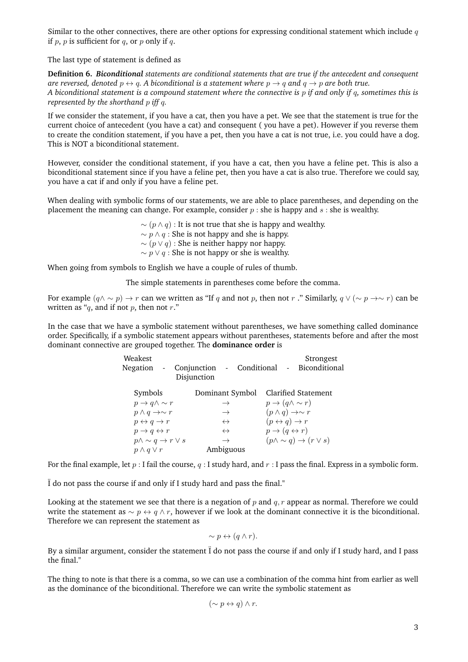Similar to the other connectives, there are other options for expressing conditional statement which include  $q$ if p, p is sufficient for q, or p only if q.

The last type of statement is defined as

**Definition 6.** *Biconditional statements are conditional statements that are true if the antecedent and consequent are reversed, denoted*  $p \leftrightarrow q$ *.* A biconditional is a statement where  $p \rightarrow q$  and  $q \rightarrow p$  are both true. *A biconditional statement is a compound statement where the connective is* p *if and only if* q*, sometimes this is represented by the shorthand* p *iff* q*.*

If we consider the statement, if you have a cat, then you have a pet. We see that the statement is true for the current choice of antecedent (you have a cat) and consequent ( you have a pet). However if you reverse them to create the condition statement, if you have a pet, then you have a cat is not true, i.e. you could have a dog. This is NOT a biconditional statement.

However, consider the conditional statement, if you have a cat, then you have a feline pet. This is also a biconditional statement since if you have a feline pet, then you have a cat is also true. Therefore we could say, you have a cat if and only if you have a feline pet.

When dealing with symbolic forms of our statements, we are able to place parentheses, and depending on the placement the meaning can change. For example, consider  $p$  : she is happy and  $s$  : she is wealthy.

> $\sim (p \wedge q)$ : It is not true that she is happy and wealthy.  $\sim p \wedge q$ : She is not happy and she is happy.  $\sim (p \vee q)$ : She is neither happy nor happy.  $\sim p \vee q$ : She is not happy or she is wealthy.

When going from symbols to English we have a couple of rules of thumb.

The simple statements in parentheses come before the comma.

For example  $(q \wedge \sim p) \rightarrow r$  can we written as "If q and not p, then not r ." Similarly,  $q \vee (\sim p \rightarrow \sim r)$  can be written as " $q$ , and if not  $p$ , then not  $r$ ."

In the case that we have a symbolic statement without parentheses, we have something called dominance order. Specifically, if a symbolic statement appears without parentheses, statements before and after the most dominant connective are grouped together. The **dominance order** is

|                                          | Strongest                                  |
|------------------------------------------|--------------------------------------------|
| Conjunction - Conditional<br>Disjunction | Biconditional                              |
| Dominant Symbol                          | Clarified Statement                        |
| $\rightarrow$                            | $p \rightarrow (q \wedge \sim r)$          |
| $\rightarrow$                            | $(p \wedge q) \rightarrow \sim r$          |
| $\leftrightarrow$                        | $(p \leftrightarrow q) \rightarrow r$      |
| $\leftrightarrow$                        | $p \rightarrow (q \leftrightarrow r)$      |
| $p \wedge \sim q \rightarrow r \vee s$   | $(p \wedge \sim q) \rightarrow (r \vee s)$ |
| Ambiguous                                |                                            |
|                                          |                                            |

For the final example, let  $p: I$  fail the course,  $q: I$  study hard, and  $r: I$  pass the final. Express in a symbolic form.

Ï do not pass the course if and only if I study hard and pass the final."

Looking at the statement we see that there is a negation of  $p$  and  $q, r$  appear as normal. Therefore we could write the statement as  $\sim p \leftrightarrow q \wedge r$ , however if we look at the dominant connective it is the biconditional. Therefore we can represent the statement as

$$
\sim p \leftrightarrow (q \wedge r).
$$

By a similar argument, consider the statement Ï do not pass the course if and only if I study hard, and I pass the final."

The thing to note is that there is a comma, so we can use a combination of the comma hint from earlier as well as the dominance of the biconditional. Therefore we can write the symbolic statement as

$$
(\sim p \leftrightarrow q) \land r.
$$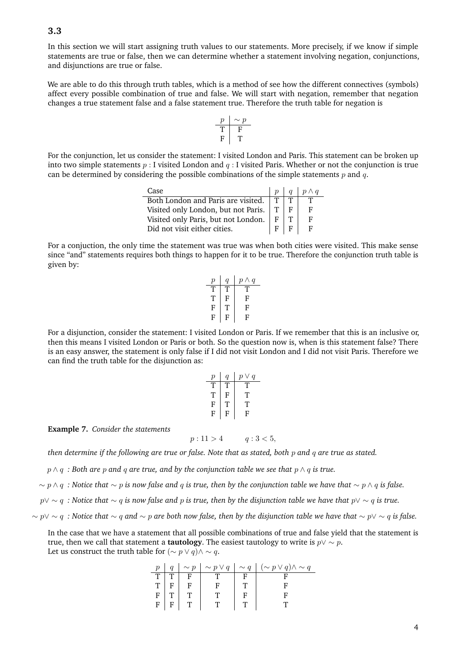#### **3.3**

In this section we will start assigning truth values to our statements. More precisely, if we know if simple statements are true or false, then we can determine whether a statement involving negation, conjunctions, and disjunctions are true or false.

We are able to do this through truth tables, which is a method of see how the different connectives (symbols) affect every possible combination of true and false. We will start with negation, remember that negation changes a true statement false and a false statement true. Therefore the truth table for negation is

$$
\begin{array}{c|c}\np & \sim p \\
\hline\nT & F \\
F & T\n\end{array}
$$

For the conjunction, let us consider the statement: I visited London and Paris. This statement can be broken up into two simple statements  $p: I$  visited London and  $q: I$  visited Paris. Whether or not the conjunction is true can be determined by considering the possible combinations of the simple statements  $p$  and  $q$ .

| Case                                    |  |  |
|-----------------------------------------|--|--|
| Both London and Paris are visited.      |  |  |
| Visited only London, but not Paris.   T |  |  |
| Visited only Paris, but not London.     |  |  |
| Did not visit either cities.            |  |  |

For a conjuction, the only time the statement was true was when both cities were visited. This make sense since "and" statements requires both things to happen for it to be true. Therefore the conjunction truth table is given by:

$$
\begin{tabular}{c|c|c} $p$ & $q$ & $p \wedge q$ \\ \hline T$ & T$ & T$ \\ T$ & F$ & F$ \\ F$ & T$ & F$ \\ F$ & F$ & F$ \\ \hline \end{tabular}
$$

For a disjunction, consider the statement: I visited London or Paris. If we remember that this is an inclusive or, then this means I visited London or Paris or both. So the question now is, when is this statement false? There is an easy answer, the statement is only false if I did not visit London and I did not visit Paris. Therefore we can find the truth table for the disjunction as:

| р  | q   | $p \vee q$ |
|----|-----|------------|
| J. | .Г. | .١.        |
| Т  | F   | T.         |
| F  | T.  | Т          |
| F  | F   | F          |

**Example 7.** *Consider the statements*

$$
p: 11 > 4 \qquad q: 3 < 5,
$$

*then determine if the following are true or false. Note that as stated, both* p *and* q *are true as stated.*

p ∧ q *: Both are* p *and* q *are true, and by the conjunction table we see that* p ∧ q *is true.*

∼ p ∧ q *: Notice that* ∼ p *is now false and* q *is true, then by the conjunction table we have that* ∼ p ∧ q *is false.*

p∨ ∼ q *: Notice that* ∼ q *is now false and* p *is true, then by the disjunction table we have that* p∨ ∼ q *is true.*

∼ p∨ ∼ q *: Notice that* ∼ q *and* ∼ p *are both now false, then by the disjunction table we have that* ∼ p∨ ∼ q *is false.*

In the case that we have a statement that all possible combinations of true and false yield that the statement is true, then we call that statement a **tautology**. The easiest tautology to write is  $p \vee \sim p$ . Let us construct the truth table for  $(\sim p \lor q) \land \sim q$ .

|                |     |   |  | $p \mid q \mid \sim p \mid \sim p \vee q \mid \sim q \mid (\sim p \vee q) \wedge \sim q$ |
|----------------|-----|---|--|------------------------------------------------------------------------------------------|
| T <sub>1</sub> |     |   |  |                                                                                          |
| $\overline{T}$ |     |   |  |                                                                                          |
| $\bar{F}$      |     |   |  |                                                                                          |
|                | F F | T |  |                                                                                          |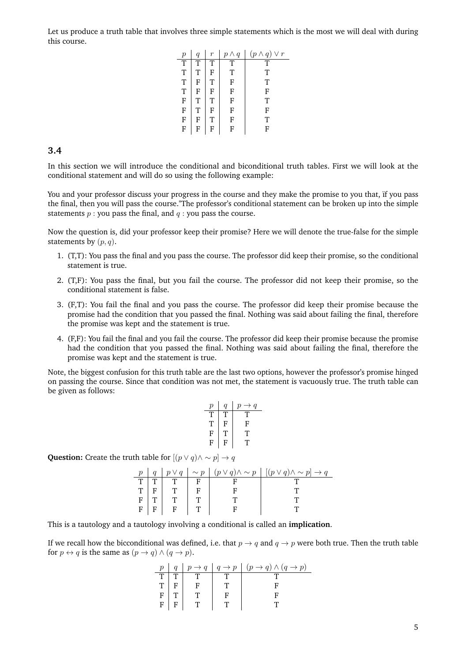Let us produce a truth table that involves three simple statements which is the most we will deal with during this course.

| $\boldsymbol{p}$      |   | $\boldsymbol{r}$ | $p \wedge q$ | $(p \wedge q)$<br>$\vee r$ |
|-----------------------|---|------------------|--------------|----------------------------|
| $\overline{\text{T}}$ | т | т                | т            | т                          |
| T                     | Τ | F                | т            | т                          |
| $\overline{T}$        | F | T                | F            | T                          |
| T                     | F | F                | F            | F                          |
| F                     | т | T                | F            | т                          |
| F                     | Т | F                | F            | F                          |
| F                     | F | T                | F            | т                          |
| F                     | F | F                | F            | F                          |

**3.4**

In this section we will introduce the conditional and biconditional truth tables. First we will look at the conditional statement and will do so using the following example:

You and your professor discuss your progress in the course and they make the promise to you that, ïf you pass the final, then you will pass the course."The professor's conditional statement can be broken up into the simple statements  $p$  : you pass the final, and  $q$  : you pass the course.

Now the question is, did your professor keep their promise? Here we will denote the true-false for the simple statements by  $(p, q)$ .

- 1. (T,T): You pass the final and you pass the course. The professor did keep their promise, so the conditional statement is true.
- 2. (T,F): You pass the final, but you fail the course. The professor did not keep their promise, so the conditional statement is false.
- 3. (F,T): You fail the final and you pass the course. The professor did keep their promise because the promise had the condition that you passed the final. Nothing was said about failing the final, therefore the promise was kept and the statement is true.
- 4. (F,F): You fail the final and you fail the course. The professor did keep their promise because the promise had the condition that you passed the final. Nothing was said about failing the final, therefore the promise was kept and the statement is true.

Note, the biggest confusion for this truth table are the last two options, however the professor's promise hinged on passing the course. Since that condition was not met, the statement is vacuously true. The truth table can be given as follows:

| $\boldsymbol{p}$ | q | $\boldsymbol{q}$<br>р<br>$\rightarrow$ |
|------------------|---|----------------------------------------|
| T                | т | J.                                     |
| T                | F | F                                      |
| F                | Т | Т                                      |
| F                | F | J.                                     |
|                  |   |                                        |

**Question:** Create the truth table for  $[(p \lor q) \land \sim p] \rightarrow q$ 

| $\boldsymbol{n}$ |  |  | $q   p \vee q   \sim p   (p \vee q) \wedge \sim p   [(p \vee q) \wedge \sim p] \rightarrow q$ |
|------------------|--|--|-----------------------------------------------------------------------------------------------|
|                  |  |  |                                                                                               |
| T.               |  |  |                                                                                               |
|                  |  |  |                                                                                               |
|                  |  |  |                                                                                               |

This is a tautology and a tautology involving a conditional is called an **implication**.

If we recall how the bicconditional was defined, i.e. that  $p \to q$  and  $q \to p$  were both true. Then the truth table for  $p \leftrightarrow q$  is the same as  $(p \rightarrow q) \land (q \rightarrow p)$ .

| $p_{-}$ |  | $q   p \rightarrow q   q \rightarrow p   (p \rightarrow q) \wedge (q \rightarrow p)$ |
|---------|--|--------------------------------------------------------------------------------------|
| T       |  |                                                                                      |
|         |  |                                                                                      |
| F       |  |                                                                                      |
| F       |  |                                                                                      |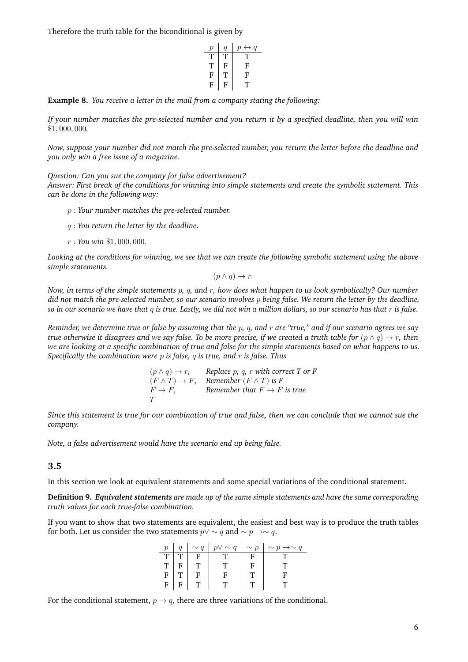Therefore the truth table for the biconditional is given by

$$
\begin{array}{c|cc}\np & q & p \leftrightarrow q \\
\hline\nT & T & T \\
T & F & F \\
F & T & F \\
F & F & T \\
\hline\n\end{array}
$$

**Example 8.** *You receive a letter in the mail from a company stating the following:*

*If your number matches the pre-selected number and you return it by a specified deadline, then you will win* \$1, 000, 000*.*

*Now, suppose your number did not match the pre-selected number, you return the letter before the deadline and you only win a free issue of a magazine.*

*Question: Can you sue the company for false advertisement? Answer: First break of the conditions for winning into simple statements and create the symbolic statement. This can be done in the following way:*

- p : *Your number matches the pre-selected number.*
- q : *You return the letter by the deadline.*
- r : *You win* \$1, 000, 000*.*

*Looking at the conditions for winning, we see that we can create the following symbolic statement using the above simple statements.*

$$
(p \land q) \to r.
$$

*Now, in terms of the simple statements* p*,* q*, and* r*, how does what happen to us look symbolically? Our number did not match the pre-selected number, so our scenario involves* p *being false. We return the letter by the deadline, so in our scenario we have that* q *is true. Lastly, we did not win a million dollars, so our scenario has that* r *is false.*

*Reminder, we determine true or false by assuming that the* p*,* q*, and* r *are "true," and if our scenario agrees we say true otherwise it disagrees and we say false. To be more precise, if we created a truth table for*  $(p \land q) \to r$ , then *we are looking at a specific combination of true and false for the simple statements based on what happens to us. Specifically the combination were* p *is false,* q *is true, and* r *is false. Thus*

| $(p \wedge q) \rightarrow r$ , | Replace $p$ , $q$ , $r$ with correct $T$ or $F$ |
|--------------------------------|-------------------------------------------------|
| $(F \wedge T) \rightarrow F$ , | Remember $(F \wedge T)$ is F                    |
| $F \to F$ .                    | Remember that $F \to F$ is true                 |
| Т                              |                                                 |

*Since this statement is true for our combination of true and false, then we can conclude that we cannot sue the company.*

*Note, a false advertisement would have the scenario end up being false.*

#### **3.5**

In this section we look at equivalent statements and some special variations of the conditional statement.

**Definition 9.** *Equivalent statements are made up of the same simple statements and have the same corresponding truth values for each true-false combination.*

If you want to show that two statements are equivalent, the easiest and best way is to produce the truth tables for both. Let us consider the two statements  $p \vee \sim q$  and  $\sim p \to \sim q$ .

| p  |     |  | $q \mid \sim q \mid p \vee \sim q \mid \sim p \mid \sim p \rightarrow \sim q$ |
|----|-----|--|-------------------------------------------------------------------------------|
| T. | - F |  |                                                                               |
| T  |     |  |                                                                               |
| F  |     |  |                                                                               |
| F  |     |  |                                                                               |

For the conditional statement,  $p \rightarrow q$ , there are three variations of the conditional.